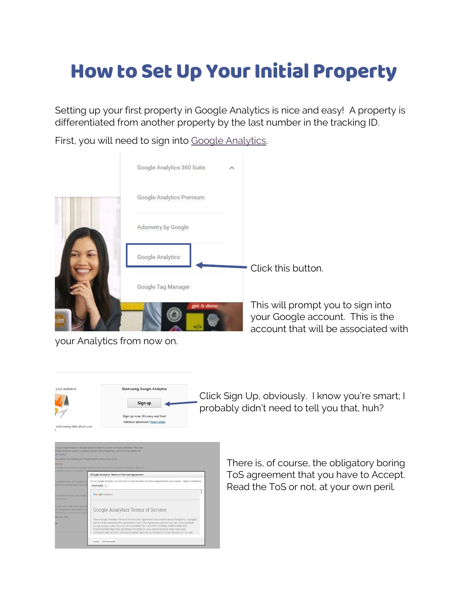## How to Set Up Your Initial Property

Setting up your first property in Google Analytics is nice and easy! A property is differentiated from another property by the last number in the tracking ID.

First, you will need to sign into [Google Analytics.](file:///F:/Documents/The%20Spare%20Room%20Docs/GA%20Course/analytics.google.com)

| Google Analytics 360 Suite<br>$\scriptstyle\wedge$ |                                                                    |
|----------------------------------------------------|--------------------------------------------------------------------|
| Google Analytics Premium                           |                                                                    |
| Adometry by Google                                 |                                                                    |
| Google Analytics                                   | Click this button.                                                 |
| Google Tag Manager                                 |                                                                    |
| get it done                                        | This will prompt you<br>your Google accour<br>account that will be |

your Analytics from now on.

u to sign into nt. This is the associated with



Click Sign Up, obviously. I know you're smart; I probably didn't need to tell you that, huh?

| vacy policy                                                                                                 | using Google Analytics ("Google Analytics data") is secure and kept confidential. This data<br>Google Analytics service, to perform system critical operations, and in rare exceptions for                                                                                                                                                            |
|-------------------------------------------------------------------------------------------------------------|-------------------------------------------------------------------------------------------------------------------------------------------------------------------------------------------------------------------------------------------------------------------------------------------------------------------------------------------------------|
| iore control over sharing your Google Analytics data. Learn more.                                           |                                                                                                                                                                                                                                                                                                                                                       |
| <b>BRAENCICES</b>                                                                                           |                                                                                                                                                                                                                                                                                                                                                       |
| explicitly intent to Analytics. Visit the assessed tisks                                                    | Google to help improve Google's products and services. If you disable this option, data can                                                                                                                                                                                                                                                           |
|                                                                                                             | Google Analytics Terms of Service Agreement                                                                                                                                                                                                                                                                                                           |
| aggregate data set to enable fee<br>flating information about your web                                      | To use Google Analytics you must first accept the terms of service agreement for your country / region of residence                                                                                                                                                                                                                                   |
|                                                                                                             | United States -                                                                                                                                                                                                                                                                                                                                       |
| resentatives access your Google<br>sele al licicioni.                                                       | <b>Google Analytics</b>                                                                                                                                                                                                                                                                                                                               |
| is and your Google sales special.<br>sur configuration and anatexis, and<br>Mix access to authorized Google | Google Analytics Terms of Service                                                                                                                                                                                                                                                                                                                     |
| irds your data.                                                                                             | These Google Analytics Terms of Service (this "Agreement") are entered into by Google Inc. ("Google")                                                                                                                                                                                                                                                 |
| its.                                                                                                        | and the entity executing this Agreement ("You"). This Agreement governs Your use of the standard<br>Google Analytics (the "Service"), BY CLICKING THE "I ACCEPT" BUTTON, COMPLETING THE<br>REGISTRATION PROCESS, OR USING THE SERVICE, YOU ACKNOWLEDGE THAT YOU HAVE<br>REVIEWED AND ACCEPT THIS AGREEMENT AND ARE AUTHORIZED TO ACT ON BEHALF OF AND |

There is, of course, the obligatory boring ToS agreement that you have to Accept. Read the ToS or not, at your own peril.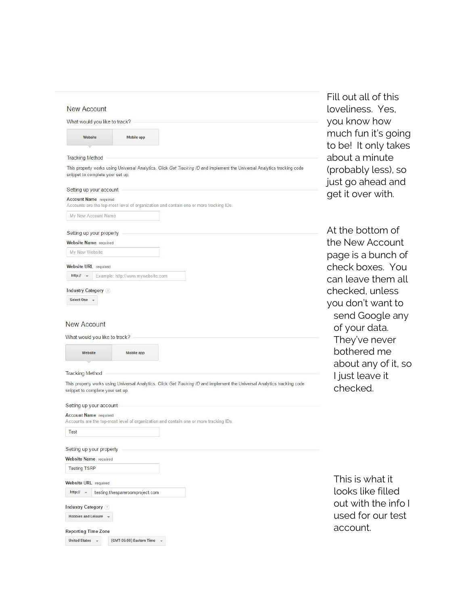| <b>New Account</b><br>What would you like to track?                                                                                                          | Fill out all of this<br>loveliness. Yes,<br>you know how |
|--------------------------------------------------------------------------------------------------------------------------------------------------------------|----------------------------------------------------------|
| Mobile app<br>Website                                                                                                                                        | much fun it's going<br>to be! It only takes              |
| <b>Tracking Method</b>                                                                                                                                       | about a minute                                           |
| This property works using Universal Analytics. Click Get Tracking ID and implement the Universal Analytics tracking code<br>snippet to complete your set up. | (probably less), so<br>just go ahead and                 |
| Setting up your account                                                                                                                                      | get it over with.                                        |
| <b>Account Name</b> required<br>Accounts are the top-most level of organization and contain one or more tracking IDs.                                        |                                                          |
| My New Account Name                                                                                                                                          |                                                          |
| Setting up your property                                                                                                                                     | At the bottom of                                         |
| Website Name required                                                                                                                                        | the New Account                                          |
| My New Website                                                                                                                                               | page is a bunch of                                       |
| <b>Website URL</b> required                                                                                                                                  | check boxes. You                                         |
| http:// $\sim$<br>Example: http://www.mywebsite.com                                                                                                          | can leave them all                                       |
| Industry Category ?                                                                                                                                          | checked, unless                                          |
| Select One -                                                                                                                                                 | you don't want to                                        |
|                                                                                                                                                              | send Google any                                          |
| <b>New Account</b>                                                                                                                                           | of your data.                                            |
| What would you like to track?                                                                                                                                | They've never                                            |
| Website<br>Mobile app                                                                                                                                        | bothered me                                              |
|                                                                                                                                                              | about any of it, so                                      |
| <b>Tracking Method</b>                                                                                                                                       | I just leave it                                          |
| This property works using Universal Analytics. Click Get Tracking ID and implement the Universal Analytics tracking code<br>snippet to complete your set up. | checked.                                                 |
| Setting up your account                                                                                                                                      |                                                          |
| <b>Account Name</b> required<br>Accounts are the top-most level of organization and contain one or more tracking IDs.                                        |                                                          |
| Test                                                                                                                                                         |                                                          |
| Setting up your property                                                                                                                                     |                                                          |
| Website Name required                                                                                                                                        |                                                          |
| <b>Testing TSRP</b>                                                                                                                                          |                                                          |
| <b>Website URL</b> required                                                                                                                                  | This is what it                                          |
| http:// $\sim$<br>testing.thespareroomproject.com                                                                                                            | looks like filled                                        |
| Industry Category (?)                                                                                                                                        | out with the info I                                      |
| <b>Hobbies and Leisure</b>                                                                                                                                   | used for our test                                        |
| <b>Reporting Time Zone</b>                                                                                                                                   | account.                                                 |
| <b>United States</b><br>(GMT-05:00) Eastern Time                                                                                                             |                                                          |